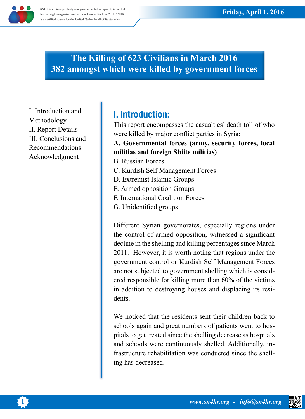## **The Killing of 623 Civilians in March 2016** *forces* **382 amongst which were killed by government forces**

I. Introduction and Methodology II. Report Details III. Conclusions and Recommendations Acknowledgment

# **I.** Introduction:

This report encompasses the casualties' death toll of who were killed by major conflict parties in Syria:

### A. Governmental forces (army, security forces, local militias and foreign Shiite militias)

- **B.** Russian Forces
- C. Kurdish Self Management Forces
- D. Extremist Islamic Groups
- E. Armed opposition Groups
- F. International Coalition Forces
- G. Unidentified groups

Different Syrian governorates, especially regions under the control of armed opposition, witnessed a significant decline in the shelling and killing percentages since March 2011. However, it is worth noting that regions under the government control or Kurdish Self Management Forces are not subjected to government shelling which is considered responsible for killing more than 60% of the victims in addition to destroying houses and displacing its residents.

We noticed that the residents sent their children back to pitals to get treated since the shelling decrease as hospitalsschools again and great numbers of patients went to hosfrastructure rehabilitation was conducted since the shell-<br>ing-has decreased. and schools were continuously shelled. Additionally, in-<br>frastructure rehabilitation was conducted since the shelland schools were continuously shelled. Additionally, in-



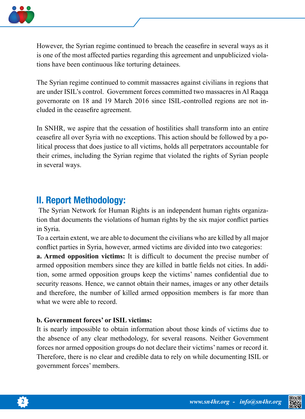

However, the Syrian regime continued to breach the ceasefire in several ways as it is one of the most affected parties regarding this agreement and unpublicized violations have been continuous like torturing detainees.

The Syrian regime continued to commit massacres against civilians in regions that are under ISIL's control. Government forces committed two massacres in Al Raqqa governorate on 18 and 19 March 2016 since ISIL-controlled regions are not in-<br>cluded in the ceasefire agreement.

In SNHR, we aspire that the cessation of hostilities shall transform into an entire litical process that does justice to all victims, holds all perpetrators accountable for e ceasefire all over Syria with no exceptions. This action should be followed by a potheir crimes, including the Syrian regime that violated the rights of Syrian people in several ways.

## **II. Report Methodology:**

tion that documents the violations of human rights by the six major conflict parties The Syrian Network for Human Rights is an independent human rights organizain Syria.

To a certain extent, we are able to document the civilians who are killed by all major conflict parties in Syria, however, armed victims are divided into two categories:

**a. Armed opposition victims:** It is difficult to document the precise number of tion, some armed opposition groups keep the victims' names confidential due to armed opposition members since they are killed in battle fields not cities. In addisecurity reasons. Hence, we cannot obtain their names, images or any other details and therefore, the number of killed armed opposition members is far more than what we were able to record.

### **b.** Government forces' or ISIL victims:

It is nearly impossible to obtain information about those kinds of victims due to the absence of any clear methodology, for several reasons. Neither Government forces nor armed opposition groups do not declare their victims' names or record it. Therefore, there is no clear and credible data to rely on while documenting ISIL or government forces' members.



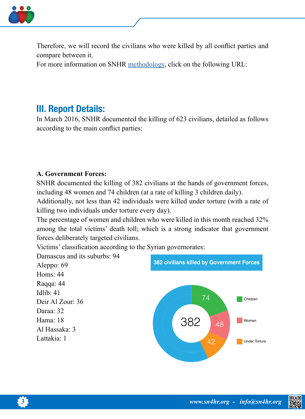

Therefore, we will record the civilians who were killed by all conflict parties and compare between it.

For more information on SNHR methodology, click on the following URL:

## **III. Report Details:**

In March 2016, SNHR documented the killing of 623 civilians, detailed as follows according to the main conflict parties:

### **A. Government Forces:**

SNHR documented the killing of 382 civilians at the hands of government forces, including 48 women and 74 children (at a rate of killing 3 children daily).

Additionally, not less than 42 individuals were killed under torture (with a rate of killing two individuals under torture every day).

The percentage of women and children who were killed in this month reached 32% among the total victims' death toll; which is a strong indicator that government forces deliberately targeted civilians.

Victims' classification according to the Syrian governorates:

Damascus and its suburbs: 94

Aleppo: 69 Homs: 44 Raqqa: 44 Idlib:  $41$ Deir Al Zour: 36 Daraa: 32  $Hama: 18$ Al Hassaka: 3 Lattakia: 1





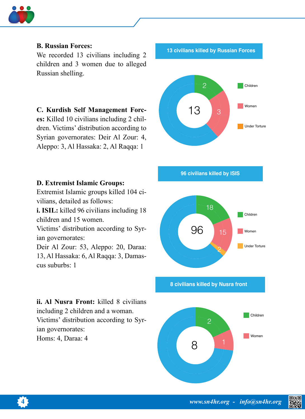

### **B. Russian Forces:**

We recorded 13 civilians including 2 children and 3 women due to alleged Russian shelling.

### **C. Kurdish Self Management Forc-**

dren. Victims' distribution according to es: Killed 10 civilians including 2 chil-Syrian governorates: Deir Al Zour: 4, Aleppo: 3, Al Hassaka: 2, Al Raqqa: 1

#### **D. Extremist Islamic Groups:**

Extremist Islamic groups killed 104 ci-<br>vilians, detailed as follows:

**i. ISIL:** killed 96 civilians including 18 children and 15 women.

Victims' distribution according to Syrian governorates:

Deir Al Zour: 53, Aleppo: 20, Daraa: 13, Al Hassaka: 6, Al Raqqa: 3, Damas-<br>cus-suburbs: 1

**ii. Al Nusra Front:** killed 8 civilians including 2 children and a woman. Victims' distribution according to Syrian governorates: Homs: 4, Daraa: 4

**13 civilians killed by Russian Forces** 



**96 civilians killed by ISIS** 



**8 civilians killed by Nusra front** 





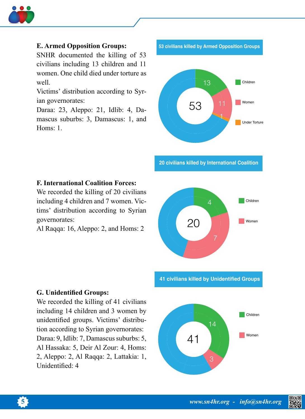

#### **E. Armed Opposition Groups:**

SNHR documented the killing of 53 civilians including 13 children and 11 women. One child died under torture as .well

Victims' distribution according to Syrian governorates:

Daraa: 23, Aleppo: 21, Idlib: 4, Da-<br>mascus suburbs: 3, Damascus: 1, and Homs:  $1.$ 

**53 civilians killed by Armed Opposition Groups** 



 **20 civilians killed by International Coalition** 

#### **F. International Coalition Forces:**

We recorded the killing of 20 civilians tims' distribution according to Syrian including 4 children and 7 women. Vic-:governorates

Al Raqqa: 16, Aleppo: 2, and Homs: 2



**41 civilians killed by Unidentified Groups** 

#### **G. Unidentified Groups:**

We recorded the killing of 41 civilians including 14 children and 3 women by tion according to Syrian governorates: unidentified groups. Victims' distribu-Daraa: 9, Idlib: 7, Damascus suburbs: 5, Al Hassaka: 5, Deir Al Zour: 4, Homs: 2, Aleppo: 2, Al Raqqa: 2, Lattakia: 1, Unidentified: 4



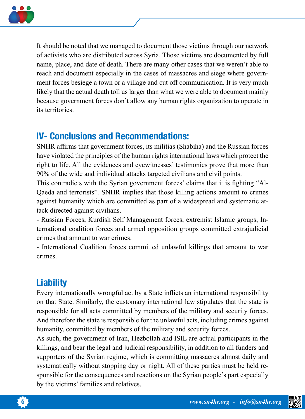

It should be noted that we managed to document those victims through our network of activists who are distributed across Syria. Those victims are documented by full name, place, and date of death. There are many other cases that we weren't able to ment forces besiege a town or a village and cut off communication. It is very much reach and document especially in the cases of massacres and siege where governlikely that the actual death toll us larger than what we were able to document mainly because government forces don't allow any human rights organization to operate in its territories.

## **IV- Conclusions and Recommendations:**

SNHR affirms that government forces, its militias (Shabiha) and the Russian forces have violated the principles of the human rights international laws which protect the right to life. All the evidences and eyewitnesses' testimonies prove that more than 90% of the wide and individual attacks targeted civilians and civil points.

Qaeda and terrorists". SNHR implies that those killing actions amount to crimes This contradicts with the Syrian government forces' claims that it is fighting "Alagainst humanity which are committed as part of a widespread and systematic at-<br>tack directed against civilians.

ternational coalition forces and armed opposition groups committed extrajudicial - Russian Forces, Kurdish Self Management forces, extremist Islamic groups, Incrimes that amount to war crimes.

- International Coalition forces committed unlawful killings that amount to war .crimes

# **Liability**

Every internationally wrongful act by a State inflicts an international responsibility on that State. Similarly, the customary international law stipulates that the state is responsible for all acts committed by members of the military and security forces. And therefore the state is responsible for the unlawful acts, including crimes against humanity, committed by members of the military and security forces.

As such, the government of Iran, Hezbollah and ISIL are actual participants in the killings, and bear the legal and judicial responsibility, in addition to all funders and supporters of the Syrian regime, which is committing massacres almost daily and sponsible for the consequences and reactions on the Syrian people's part especially systematically without stopping day or night. All of these parties must be held reby the victims' families and relatives.